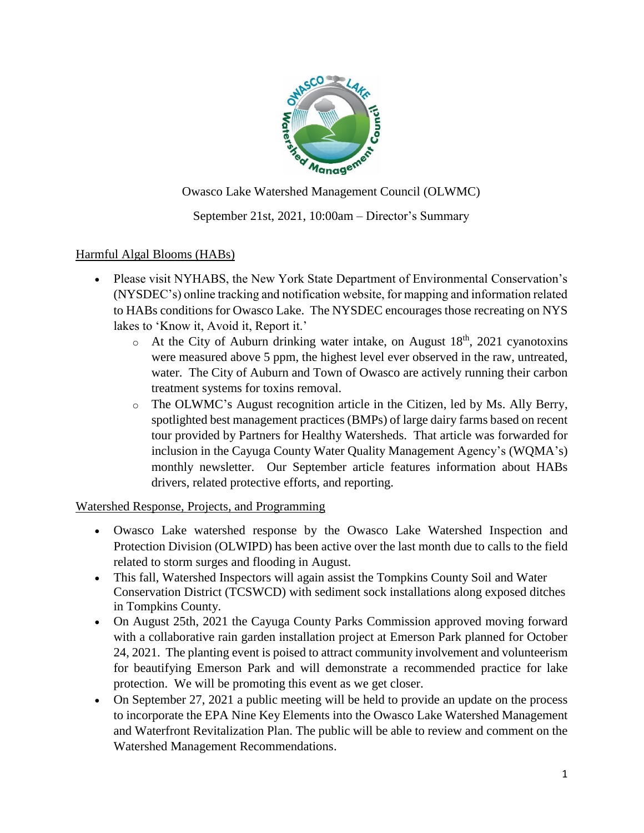

Owasco Lake Watershed Management Council (OLWMC)

# September 21st, 2021, 10:00am – Director's Summary

### Harmful Algal Blooms (HABs)

- Please visit NYHABS, the New York State Department of Environmental Conservation's (NYSDEC's) online tracking and notification website, for mapping and information related to HABs conditions for Owasco Lake. The NYSDEC encourages those recreating on NYS lakes to 'Know it, Avoid it, Report it.'
	- $\circ$  At the City of Auburn drinking water intake, on August 18<sup>th</sup>, 2021 cyanotoxins were measured above 5 ppm, the highest level ever observed in the raw, untreated, water. The City of Auburn and Town of Owasco are actively running their carbon treatment systems for toxins removal.
	- o The OLWMC's August recognition article in the Citizen, led by Ms. Ally Berry, spotlighted best management practices (BMPs) of large dairy farms based on recent tour provided by Partners for Healthy Watersheds. That article was forwarded for inclusion in the Cayuga County Water Quality Management Agency's (WQMA's) monthly newsletter. Our September article features information about HABs drivers, related protective efforts, and reporting.

### Watershed Response, Projects, and Programming

- Owasco Lake watershed response by the Owasco Lake Watershed Inspection and Protection Division (OLWIPD) has been active over the last month due to calls to the field related to storm surges and flooding in August.
- This fall, Watershed Inspectors will again assist the Tompkins County Soil and Water Conservation District (TCSWCD) with sediment sock installations along exposed ditches in Tompkins County.
- On August 25th, 2021 the Cayuga County Parks Commission approved moving forward with a collaborative rain garden installation project at Emerson Park planned for October 24, 2021. The planting event is poised to attract community involvement and volunteerism for beautifying Emerson Park and will demonstrate a recommended practice for lake protection. We will be promoting this event as we get closer.
- On September 27, 2021 a public meeting will be held to provide an update on the process to incorporate the EPA Nine Key Elements into the Owasco Lake Watershed Management and Waterfront Revitalization Plan. The public will be able to review and comment on the Watershed Management Recommendations.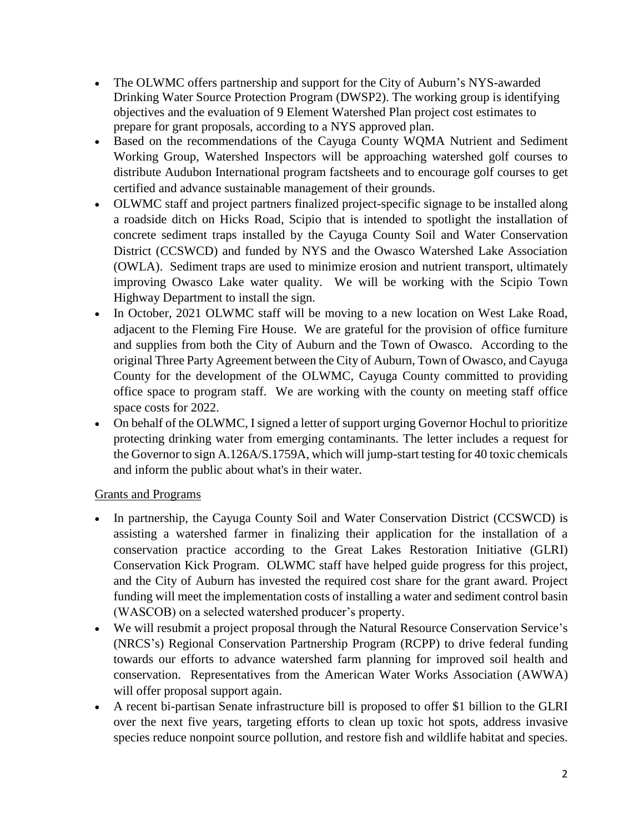- The OLWMC offers partnership and support for the City of Auburn's NYS-awarded Drinking Water Source Protection Program (DWSP2). The working group is identifying objectives and the evaluation of 9 Element Watershed Plan project cost estimates to prepare for grant proposals, according to a NYS approved plan.
- Based on the recommendations of the Cayuga County WQMA Nutrient and Sediment Working Group, Watershed Inspectors will be approaching watershed golf courses to distribute Audubon International program factsheets and to encourage golf courses to get certified and advance sustainable management of their grounds.
- OLWMC staff and project partners finalized project-specific signage to be installed along a roadside ditch on Hicks Road, Scipio that is intended to spotlight the installation of concrete sediment traps installed by the Cayuga County Soil and Water Conservation District (CCSWCD) and funded by NYS and the Owasco Watershed Lake Association (OWLA). Sediment traps are used to minimize erosion and nutrient transport, ultimately improving Owasco Lake water quality. We will be working with the Scipio Town Highway Department to install the sign.
- In October, 2021 OLWMC staff will be moving to a new location on West Lake Road, adjacent to the Fleming Fire House. We are grateful for the provision of office furniture and supplies from both the City of Auburn and the Town of Owasco. According to the original Three Party Agreement between the City of Auburn, Town of Owasco, and Cayuga County for the development of the OLWMC, Cayuga County committed to providing office space to program staff. We are working with the county on meeting staff office space costs for 2022.
- On behalf of the OLWMC, I signed a letter of support urging Governor Hochul to prioritize protecting drinking water from emerging contaminants. The letter includes a request for the Governor to sign A.126A/S.1759A, which will jump-start testing for 40 toxic chemicals and inform the public about what's in their water.

### Grants and Programs

- In partnership, the Cayuga County Soil and Water Conservation District (CCSWCD) is assisting a watershed farmer in finalizing their application for the installation of a conservation practice according to the Great Lakes Restoration Initiative (GLRI) Conservation Kick Program. OLWMC staff have helped guide progress for this project, and the City of Auburn has invested the required cost share for the grant award. Project funding will meet the implementation costs of installing a water and sediment control basin (WASCOB) on a selected watershed producer's property.
- We will resubmit a project proposal through the Natural Resource Conservation Service's (NRCS's) Regional Conservation Partnership Program (RCPP) to drive federal funding towards our efforts to advance watershed farm planning for improved soil health and conservation. Representatives from the American Water Works Association (AWWA) will offer proposal support again.
- A recent bi-partisan Senate infrastructure bill is proposed to offer \$1 billion to the GLRI over the next five years, targeting efforts to clean up toxic hot spots, address invasive species reduce nonpoint source pollution, and restore fish and wildlife habitat and species.